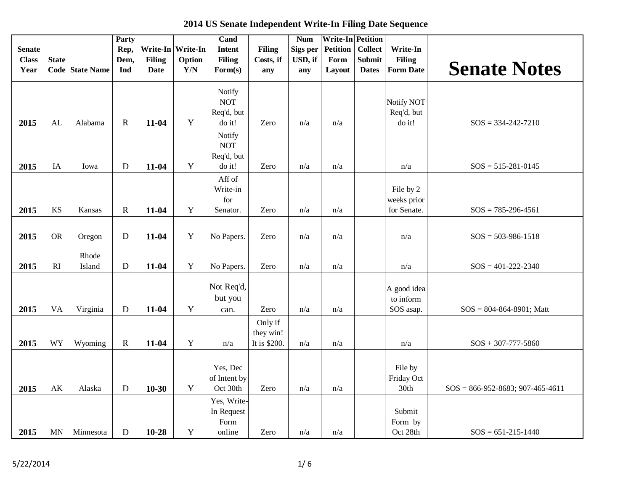| <b>Senate</b><br><b>Class</b><br>Year | <b>State</b>           | Code State Name | Party<br>Rep,<br>Dem,<br>Ind | <b>Filing</b><br><b>Date</b> | Write-In Write-In<br>Option<br>Y/N | Cand<br>Intent<br><b>Filing</b><br>$\mathbf{Form}(s)$ | <b>Filing</b><br>Costs, if<br>any    | <b>Num</b><br>Sigs per<br>USD, if<br>any | <b>Write-In Petition</b><br><b>Petition</b><br>Form<br>Layout | <b>Collect</b><br><b>Submit</b><br><b>Dates</b> | Write-In<br><b>Filing</b><br><b>Form Date</b> | <b>Senate Notes</b>                 |
|---------------------------------------|------------------------|-----------------|------------------------------|------------------------------|------------------------------------|-------------------------------------------------------|--------------------------------------|------------------------------------------|---------------------------------------------------------------|-------------------------------------------------|-----------------------------------------------|-------------------------------------|
| 2015                                  | AL                     | Alabama         | $\mathbf R$                  | 11-04                        | Y                                  | Notify<br><b>NOT</b><br>Req'd, but<br>do it!          | Zero                                 | n/a                                      | n/a                                                           |                                                 | Notify NOT<br>Req'd, but<br>do it!            | $SOS = 334-242-7210$                |
| 2015                                  | IA                     | Iowa            | D                            | 11-04                        | Y                                  | Notify<br><b>NOT</b><br>Req'd, but<br>do it!          | Zero                                 | n/a                                      | n/a                                                           |                                                 | n/a                                           | $SOS = 515 - 281 - 0145$            |
| 2015                                  | KS                     | Kansas          | $\mathbf R$                  | 11-04                        | $\mathbf Y$                        | Aff of<br>Write-in<br>for<br>Senator.                 | Zero                                 | n/a                                      | n/a                                                           |                                                 | File by 2<br>weeks prior<br>for Senate.       | $SOS = 785-296-4561$                |
| 2015                                  | <b>OR</b>              | Oregon          | D                            | 11-04                        | Y                                  | No Papers.                                            | Zero                                 | $\mathrm{n}/\mathrm{a}$                  | n/a                                                           |                                                 | n/a                                           | $SOS = 503-986-1518$                |
| 2015                                  | RI                     | Rhode<br>Island | D                            | 11-04                        | Y                                  | No Papers.                                            | Zero                                 | n/a                                      | n/a                                                           |                                                 | n/a                                           | $SOS = 401 - 222 - 2340$            |
| 2015                                  | <b>VA</b>              | Virginia        | ${\bf D}$                    | 11-04                        | Y                                  | Not Req'd,<br>but you<br>can.                         | Zero                                 | n/a                                      | n/a                                                           |                                                 | A good idea<br>to inform<br>SOS asap.         | $SOS = 804-864-8901$ ; Matt         |
| 2015                                  | <b>WY</b>              | Wyoming         | ${\bf R}$                    | 11-04                        | $\mathbf Y$                        | n/a                                                   | Only if<br>they win!<br>It is \$200. | n/a                                      | n/a                                                           |                                                 | n/a                                           | $SOS + 307-777-5860$                |
| 2015                                  | $\mathbf{A}\mathbf{K}$ | Alaska          | $\mathbf D$                  | $10-30$                      | Y                                  | Yes, Dec<br>of Intent by<br>Oct 30th                  | Zero                                 | $\mathrm{n}/\mathrm{a}$                  | n/a                                                           |                                                 | File by<br>Friday Oct<br>30th                 | $SOS = 866-952-8683$ ; 907-465-4611 |
| 2015                                  | MN                     | Minnesota       | ${\bf D}$                    | 10-28                        | $\mathbf Y$                        | Yes, Write-<br>In Request<br>Form<br>online           | Zero                                 | n/a                                      | n/a                                                           |                                                 | Submit<br>Form by<br>Oct 28th                 | $SOS = 651-215-1440$                |

 **2014 US Senate Independent Write-In Filing Date Sequence**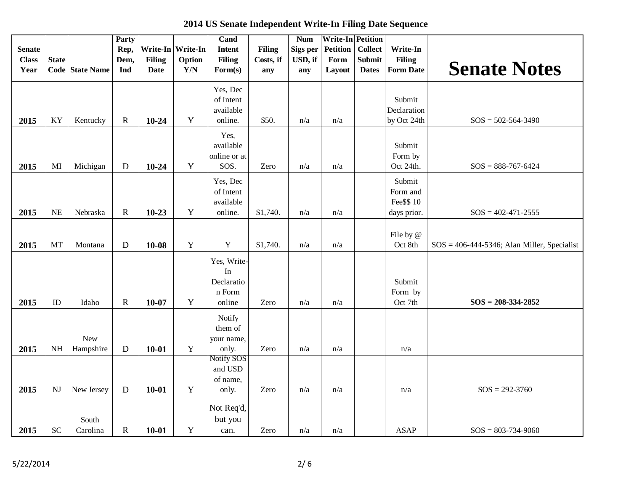**2014 US Senate Independent Write-In Filing Date Sequence State Code State Name Party Rep, Dem, Ind Write-In Filing Date Write-In Option Y/N Cand Intent Filing Form(s) Filing Costs, if any Num Sigs per USD, if any Write-In Petition Petition Form Layout Collect Submit Dates Write-In Filing Form Date Senate Notes 2015** | KY | Kentucky | R | **10-24** | Y Yes, Dec of Intent available online.  $\frac{\text{550}}{\text{m/a}}$  n/a n/a Submit Declaration by Oct 24th  $SOS = 502-564-3490$ **2015** MI Michigan D **10-24** Y Yes, available online or at SOS. Zero  $n/a$   $n/a$ Submit Form by Oct 24th.  $\text{SOS} = 888-767-6424$ **2015** | NE | Nebraska | R | **10-23** | Y Yes, Dec of Intent available online.  $$1,740.$   $n/a$   $n/a$ Submit Form and Fee\$\$ 10 days prior.  $\text{SOS} = 402 - 471 - 2555$ **2015** | MT | Montana | D | **10-08** | Y | Y | \$1,740. | n/a | n/a File by @ Oct 8th  $\int$  SOS = 406-444-5346; Alan Miller, Specialist 2015 | ID | Idaho | R | 10-07 | Y Yes, Write-In Declaratio n Form online Zero  $n/a$  n/a Submit Form by Oct 7th **SOS = 208-334-2852 2015** NH New Hampshire **D 10-01** Y Notify them of your name, only. Zero  $n/a$   $n/a$   $n/a$ Notify SOS and USD

 $2015$  | SC

**2015** | NJ | New Jersey | **D** | **10-01** | **Y** 

Carolina  $R$  10-01 Y

South

**Senate Class Year**

only. Zero  $n/a$   $n/a$   $n/a$   $n/a$   $n/a$   $SOS = 292-3760$ 

can. | Zero |  $n/a$  |  $n/a$  | ASAP | SOS = 803-734-9060

of name,

Not Req'd, but you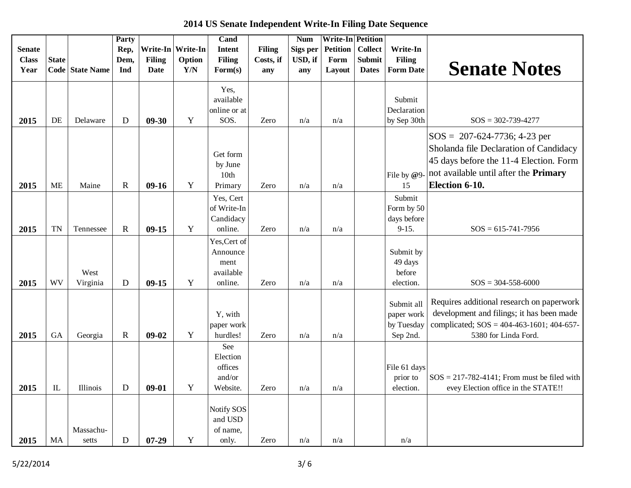| <b>Senate</b><br><b>Class</b><br>Year | <b>State</b> | Code State Name    | <b>Party</b><br>Rep,<br>Dem,<br>Ind | <b>Filing</b><br><b>Date</b> | Write-In Write-In<br>Option<br>Y/N | Cand<br><b>Intent</b><br><b>Filing</b><br>$\mathbf{Form}(s)$ | <b>Filing</b><br>Costs, if<br>any | <b>Num</b><br>Sigs per<br>USD, if<br>any | <b>Write-In Petition</b><br><b>Petition</b><br>Form<br>Layout | <b>Collect</b><br><b>Submit</b><br><b>Dates</b> | Write-In<br><b>Filing</b><br><b>Form Date</b>      | <b>Senate Notes</b>                                                                                                                                                                   |
|---------------------------------------|--------------|--------------------|-------------------------------------|------------------------------|------------------------------------|--------------------------------------------------------------|-----------------------------------|------------------------------------------|---------------------------------------------------------------|-------------------------------------------------|----------------------------------------------------|---------------------------------------------------------------------------------------------------------------------------------------------------------------------------------------|
| 2015                                  | DE           | Delaware           | D                                   | $09 - 30$                    | Y                                  | Yes,<br>available<br>online or at<br>SOS.                    | Zero                              | n/a                                      | n/a                                                           |                                                 | Submit<br>Declaration<br>by Sep 30th               | $SOS = 302 - 739 - 4277$                                                                                                                                                              |
| 2015                                  | <b>ME</b>    | Maine              | $\mathbf R$                         | $09-16$                      | Y                                  | Get form<br>by June<br>10th<br>Primary                       | Zero                              | n/a                                      | n/a                                                           |                                                 | File by @9-<br>15                                  | $SOS = 207-624-7736$ ; 4-23 per<br>Sholanda file Declaration of Candidacy<br>45 days before the 11-4 Election. Form<br>not available until after the <b>Primary</b><br>Election 6-10. |
| 2015                                  | TN           | Tennessee          | $\mathbf R$                         | $09-15$                      | Y                                  | Yes, Cert<br>of Write-In<br>Candidacy<br>online.             | Zero                              | n/a                                      | n/a                                                           |                                                 | Submit<br>Form by 50<br>days before<br>$9 - 15.$   | $SOS = 615 - 741 - 7956$                                                                                                                                                              |
| 2015                                  | <b>WV</b>    | West<br>Virginia   | $\mathbf D$                         | $09-15$                      | $\mathbf Y$                        | Yes, Cert of<br>Announce<br>ment<br>available<br>online.     | Zero                              | n/a                                      | n/a                                                           |                                                 | Submit by<br>49 days<br>before<br>election.        | $SOS = 304 - 558 - 6000$                                                                                                                                                              |
| 2015                                  | <b>GA</b>    | Georgia            | $\mathbf R$                         | $09-02$                      | Y                                  | Y, with<br>paper work<br>hurdles!                            | Zero                              | n/a                                      | n/a                                                           |                                                 | Submit all<br>paper work<br>by Tuesday<br>Sep 2nd. | Requires additional research on paperwork<br>development and filings; it has been made<br>complicated; $SOS = 404-463-1601$ ; 404-657-<br>5380 for Linda Ford.                        |
| 2015                                  | $\mathbb{L}$ | Illinois           | D                                   | $09 - 01$                    | Y                                  | See<br>Election<br>offices<br>and/or<br>Website.             | Zero                              | n/a                                      | n/a                                                           |                                                 | File 61 days<br>prior to<br>election.              | $SOS = 217-782-4141$ ; From must be filed with<br>evey Election office in the STATE!!                                                                                                 |
| 2015                                  | MA           | Massachu-<br>setts | D                                   | $07 - 29$                    | Y                                  | Notify SOS<br>and USD<br>of name,<br>only.                   | Zero                              | n/a                                      | n/a                                                           |                                                 | n/a                                                |                                                                                                                                                                                       |

 **2014 US Senate Independent Write-In Filing Date Sequence**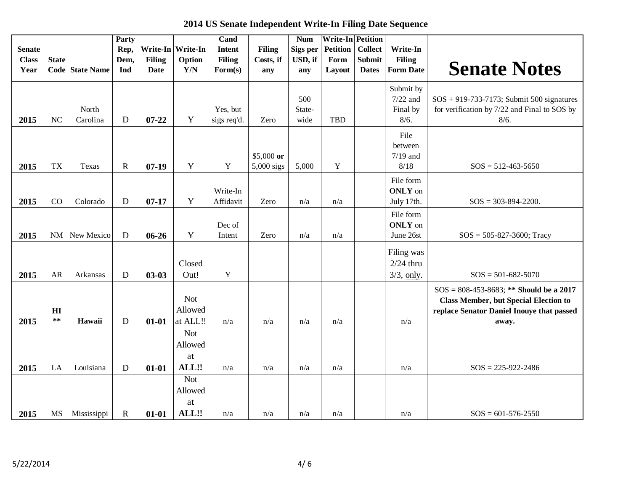| 2014 US Senate Independent Write-In Filing Date Sequence |  |  |  |  |  |
|----------------------------------------------------------|--|--|--|--|--|
|----------------------------------------------------------|--|--|--|--|--|

| <b>Senate</b> |              |                 | Party<br>Rep, |               | Write-In Write-In | Cand<br><b>Intent</b> | <b>Filing</b> | <b>Num</b><br>Sigs per | <b>Write-In Petition</b><br><b>Petition</b> | <b>Collect</b> | Write-In         |                                              |
|---------------|--------------|-----------------|---------------|---------------|-------------------|-----------------------|---------------|------------------------|---------------------------------------------|----------------|------------------|----------------------------------------------|
| <b>Class</b>  | <b>State</b> |                 | Dem,          | <b>Filing</b> | Option            | <b>Filing</b>         | Costs, if     | USD, if                | Form                                        | Submit         | <b>Filing</b>    |                                              |
| Year          |              | Code State Name | Ind           | <b>Date</b>   | Y/N               | $\mathbf{Form}(s)$    | any           | any                    | Layout                                      | <b>Dates</b>   | <b>Form Date</b> | <b>Senate Notes</b>                          |
|               |              |                 |               |               |                   |                       |               |                        |                                             |                | Submit by        |                                              |
|               |              |                 |               |               |                   |                       |               | 500                    |                                             |                | $7/22$ and       | $SOS + 919-733-7173$ ; Submit 500 signatures |
|               |              | North           |               |               |                   | Yes, but              |               | State-                 |                                             |                | Final by         | for verification by 7/22 and Final to SOS by |
| 2015          | <b>NC</b>    | Carolina        | D             | $07 - 22$     | Y                 | sigs req'd.           | Zero          | wide                   | <b>TBD</b>                                  |                | 8/6.             | 8/6.                                         |
|               |              |                 |               |               |                   |                       |               |                        |                                             |                | File             |                                              |
|               |              |                 |               |               |                   |                       |               |                        |                                             |                | between          |                                              |
|               |              |                 |               |               |                   |                       | \$5,000 $or$  |                        |                                             |                | $7/19$ and       |                                              |
| 2015          | <b>TX</b>    | Texas           | $\mathbf R$   | $07-19$       | Y                 | $\mathbf Y$           | $5,000$ sigs  | 5,000                  | $\mathbf Y$                                 |                | 8/18             | $SOS = 512 - 463 - 5650$                     |
|               |              |                 |               |               |                   |                       |               |                        |                                             |                | File form        |                                              |
|               |              |                 |               |               |                   | Write-In              |               |                        |                                             |                | <b>ONLY</b> on   |                                              |
| 2015          | CO           | Colorado        | D             | $07 - 17$     | Y                 | Affidavit             | Zero          | n/a                    | n/a                                         |                | July 17th.       | $SOS = 303 - 894 - 2200.$                    |
|               |              |                 |               |               |                   |                       |               |                        |                                             |                | File form        |                                              |
|               |              |                 |               |               |                   | Dec of                |               |                        |                                             |                | <b>ONLY</b> on   |                                              |
| 2015          |              | NM New Mexico   | D             | $06 - 26$     | Y                 | Intent                | Zero          | n/a                    | n/a                                         |                | June 26st        | $SOS = 505 - 827 - 3600$ ; Tracy             |
|               |              |                 |               |               |                   |                       |               |                        |                                             |                | Filing was       |                                              |
|               |              |                 |               |               | Closed            |                       |               |                        |                                             |                | $2/24$ thru      |                                              |
| 2015          | <b>AR</b>    | Arkansas        | D             | $03-03$       | Out!              | $\mathbf Y$           |               |                        |                                             |                | $3/3$ , only.    | $SOS = 501 - 682 - 5070$                     |
|               |              |                 |               |               |                   |                       |               |                        |                                             |                |                  |                                              |
|               |              |                 |               |               | <b>Not</b>        |                       |               |                        |                                             |                |                  | $SOS = 808-453-8683$ ; ** Should be a 2017   |
|               |              |                 |               |               | Allowed           |                       |               |                        |                                             |                |                  | <b>Class Member, but Special Election to</b> |
|               | HI<br>$***$  | Hawaii          | $\mathbf D$   | $01 - 01$     | at ALL!!          | n/a                   | n/a           | n/a                    |                                             |                | n/a              | replace Senator Daniel Inouye that passed    |
| 2015          |              |                 |               |               |                   |                       |               |                        | n/a                                         |                |                  | away.                                        |
|               |              |                 |               |               | <b>Not</b>        |                       |               |                        |                                             |                |                  |                                              |
|               |              |                 |               |               | Allowed           |                       |               |                        |                                             |                |                  |                                              |
|               |              |                 |               |               | at                |                       |               |                        |                                             |                |                  |                                              |
| 2015          | LA           | Louisiana       | ${\bf D}$     | $01 - 01$     | ALL!!             | n/a                   | n/a           | n/a                    | n/a                                         |                | n/a              | $SOS = 225 - 922 - 2486$                     |
|               |              |                 |               |               | <b>Not</b>        |                       |               |                        |                                             |                |                  |                                              |
|               |              |                 |               |               | Allowed           |                       |               |                        |                                             |                |                  |                                              |
|               |              |                 |               |               | at                |                       |               |                        |                                             |                |                  |                                              |
| 2015          | <b>MS</b>    | Mississippi     | $\mathbf R$   | $01 - 01$     | ALL!!             | n/a                   | n/a           | n/a                    | n/a                                         |                | n/a              | $SOS = 601 - 576 - 2550$                     |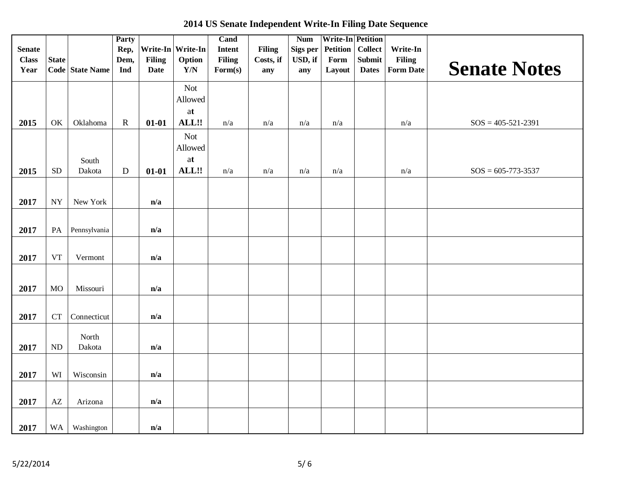|  |  | 2014 US Senate Independent Write-In Filing Date Sequence |  |  |
|--|--|----------------------------------------------------------|--|--|
|--|--|----------------------------------------------------------|--|--|

| <b>Senate</b><br><b>Class</b><br>Year | <b>State</b>       | Code State Name | <b>Party</b><br>Rep,<br>Dem,<br>Ind | <b>Filing</b><br><b>Date</b> | Write-In Write-In<br>Option<br>$\mathbf{Y}/\mathbf{N}$ | Cand<br>Intent<br><b>Filing</b><br>Form(s) | <b>Filing</b><br>Costs, if<br>any | <b>Num</b><br>Sigs per<br>USD, if<br>any | <b>Write-In Petition</b><br><b>Petition</b><br>Form<br>Layout | <b>Collect</b><br><b>Submit</b><br><b>Dates</b> | Write-In<br>Filing<br><b>Form Date</b> | <b>Senate Notes</b>      |
|---------------------------------------|--------------------|-----------------|-------------------------------------|------------------------------|--------------------------------------------------------|--------------------------------------------|-----------------------------------|------------------------------------------|---------------------------------------------------------------|-------------------------------------------------|----------------------------------------|--------------------------|
| 2015                                  | OK                 | Oklahoma        | ${\bf R}$                           | $01 - 01$                    | <b>Not</b><br>Allowed<br>at<br>ALL!!                   | n/a                                        | n/a                               | n/a                                      | n/a                                                           |                                                 | n/a                                    | $SOS = 405 - 521 - 2391$ |
|                                       |                    | South           |                                     |                              | <b>Not</b><br>Allowed<br>at                            |                                            |                                   |                                          |                                                               |                                                 |                                        |                          |
| 2015                                  | <b>SD</b>          | Dakota          | ${\bf D}$                           | $01 - 01$                    | ALL!!                                                  | n/a                                        | n/a                               | $\mathrm{n}/\mathrm{a}$                  | n/a                                                           |                                                 | n/a                                    | $SOS = 605 - 773 - 3537$ |
| 2017                                  | <b>NY</b>          | New York        |                                     | n/a                          |                                                        |                                            |                                   |                                          |                                                               |                                                 |                                        |                          |
| 2017                                  | PA                 | Pennsylvania    |                                     | n/a                          |                                                        |                                            |                                   |                                          |                                                               |                                                 |                                        |                          |
| 2017                                  | ${\rm VT}$         | Vermont         |                                     | n/a                          |                                                        |                                            |                                   |                                          |                                                               |                                                 |                                        |                          |
| 2017                                  | <b>MO</b>          | Missouri        |                                     | n/a                          |                                                        |                                            |                                   |                                          |                                                               |                                                 |                                        |                          |
| 2017                                  | ${\cal C}{\cal T}$ | Connecticut     |                                     | n/a                          |                                                        |                                            |                                   |                                          |                                                               |                                                 |                                        |                          |
| 2017                                  | <b>ND</b>          | North<br>Dakota |                                     | n/a                          |                                                        |                                            |                                   |                                          |                                                               |                                                 |                                        |                          |
| 2017                                  | WI                 | Wisconsin       |                                     | n/a                          |                                                        |                                            |                                   |                                          |                                                               |                                                 |                                        |                          |
| 2017                                  | AZ                 | Arizona         |                                     | n/a                          |                                                        |                                            |                                   |                                          |                                                               |                                                 |                                        |                          |
| 2017                                  | <b>WA</b>          | Washington      |                                     | n/a                          |                                                        |                                            |                                   |                                          |                                                               |                                                 |                                        |                          |